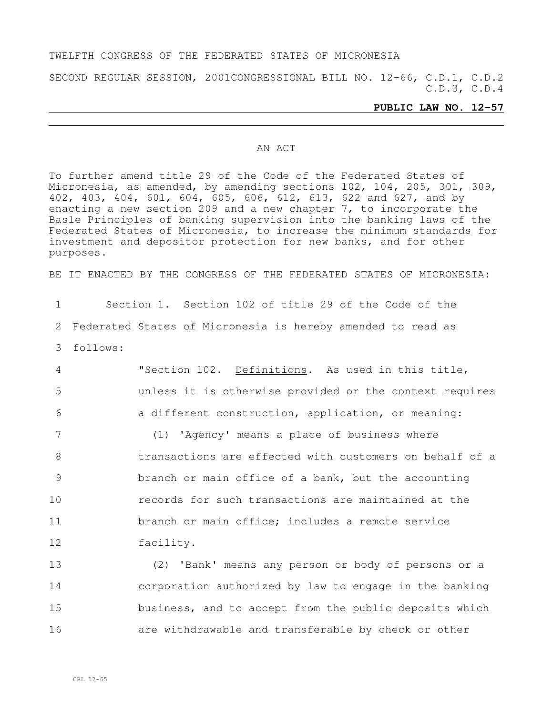### TWELFTH CONGRESS OF THE FEDERATED STATES OF MICRONESIA

SECOND REGULAR SESSION, 2001CONGRESSIONAL BILL NO. 12-66, C.D.1, C.D.2 C.D.3, C.D.4

### **PUBLIC LAW NO. 12-57**

### AN ACT

To further amend title 29 of the Code of the Federated States of Micronesia, as amended, by amending sections 102, 104, 205, 301, 309, 402, 403, 404, 601, 604, 605, 606, 612, 613, 622 and 627, and by enacting a new section 209 and a new chapter 7, to incorporate the Basle Principles of banking supervision into the banking laws of the Federated States of Micronesia, to increase the minimum standards for investment and depositor protection for new banks, and for other purposes.

BE IT ENACTED BY THE CONGRESS OF THE FEDERATED STATES OF MICRONESIA:

| $\mathbf{1}$   | Section 1. Section 102 of title 29 of the Code of the       |
|----------------|-------------------------------------------------------------|
| 2              | Federated States of Micronesia is hereby amended to read as |
| 3              | follows:                                                    |
| $\overline{4}$ | "Section 102. Definitions. As used in this title,           |
| 5              | unless it is otherwise provided or the context requires     |
| 6              | a different construction, application, or meaning:          |
| 7              | (1) 'Agency' means a place of business where                |
| 8              | transactions are effected with customers on behalf of a     |
| 9              | branch or main office of a bank, but the accounting         |
| 10             | records for such transactions are maintained at the         |
| 11             | branch or main office; includes a remote service            |
| 12             | facility.                                                   |
| 13             | (2) 'Bank' means any person or body of persons or a         |
| 14             | corporation authorized by law to engage in the banking      |
| 15             | business, and to accept from the public deposits which      |
| 16             | are withdrawable and transferable by check or other         |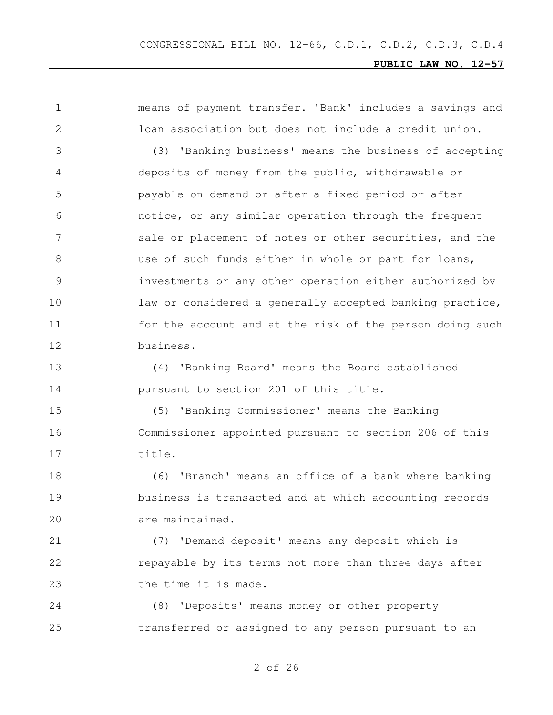means of payment transfer. 'Bank' includes a savings and loan association but does not include a credit union. (3) 'Banking business' means the business of accepting deposits of money from the public, withdrawable or payable on demand or after a fixed period or after notice, or any similar operation through the frequent 7 sale or placement of notes or other securities, and the 8 and use of such funds either in whole or part for loans, investments or any other operation either authorized by law or considered a generally accepted banking practice, for the account and at the risk of the person doing such business. (4) 'Banking Board' means the Board established pursuant to section 201 of this title. (5) 'Banking Commissioner' means the Banking Commissioner appointed pursuant to section 206 of this title. (6) 'Branch' means an office of a bank where banking business is transacted and at which accounting records are maintained. (7) 'Demand deposit' means any deposit which is **repayable by its terms not more than three days after** 23 the time it is made. (8) 'Deposits' means money or other property transferred or assigned to any person pursuant to an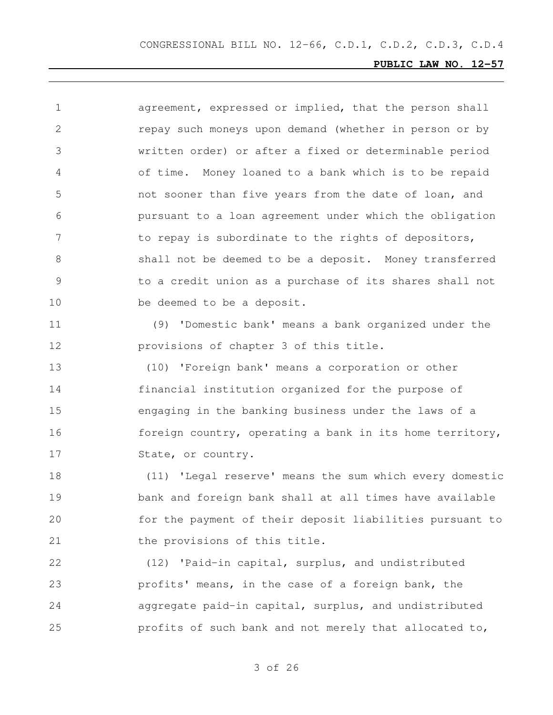| 1  | agreement, expressed or implied, that the person shall   |
|----|----------------------------------------------------------|
| 2  | repay such moneys upon demand (whether in person or by   |
| 3  | written order) or after a fixed or determinable period   |
| 4  | of time. Money loaned to a bank which is to be repaid    |
| 5  | not sooner than five years from the date of loan, and    |
| 6  | pursuant to a loan agreement under which the obligation  |
| 7  | to repay is subordinate to the rights of depositors,     |
| 8  | shall not be deemed to be a deposit. Money transferred   |
| 9  | to a credit union as a purchase of its shares shall not  |
| 10 | be deemed to be a deposit.                               |
| 11 | 'Domestic bank' means a bank organized under the<br>(9)  |
| 12 | provisions of chapter 3 of this title.                   |
| 13 | (10) 'Foreign bank' means a corporation or other         |
| 14 | financial institution organized for the purpose of       |
| 15 | engaging in the banking business under the laws of a     |
| 16 | foreign country, operating a bank in its home territory, |
| 17 | State, or country.                                       |
| 18 | (11) 'Legal reserve' means the sum which every domestic  |
| 19 | bank and foreign bank shall at all times have available  |
| 20 | for the payment of their deposit liabilities pursuant to |
| 21 | the provisions of this title.                            |
|    |                                                          |

 (12) 'Paid-in capital, surplus, and undistributed profits' means, in the case of a foreign bank, the aggregate paid-in capital, surplus, and undistributed profits of such bank and not merely that allocated to,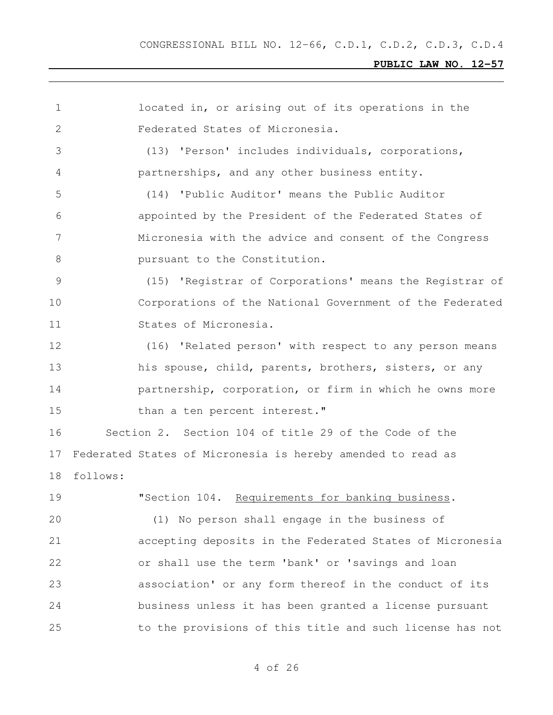| 1              | located in, or arising out of its operations in the         |
|----------------|-------------------------------------------------------------|
| 2              | Federated States of Micronesia.                             |
| 3              | (13) 'Person' includes individuals, corporations,           |
| 4              | partnerships, and any other business entity.                |
| 5              | (14) 'Public Auditor' means the Public Auditor              |
| 6              | appointed by the President of the Federated States of       |
| $7\phantom{.}$ | Micronesia with the advice and consent of the Congress      |
| 8              | pursuant to the Constitution.                               |
| 9              | (15) 'Registrar of Corporations' means the Registrar of     |
| 10             | Corporations of the National Government of the Federated    |
| 11             | States of Micronesia.                                       |
| 12             | (16) 'Related person' with respect to any person means      |
| 13             | his spouse, child, parents, brothers, sisters, or any       |
| 14             | partnership, corporation, or firm in which he owns more     |
| 15             | than a ten percent interest."                               |
| 16             | Section 2. Section 104 of title 29 of the Code of the       |
| 17             | Federated States of Micronesia is hereby amended to read as |
| 18             | follows:                                                    |
| 19             | "Section 104. Requirements for banking business.            |
| 20             | (1) No person shall engage in the business of               |
| 21             | accepting deposits in the Federated States of Micronesia    |
| 22             | or shall use the term 'bank' or 'savings and loan           |
| 23             | association' or any form thereof in the conduct of its      |
| 24             | business unless it has been granted a license pursuant      |
| 25             | to the provisions of this title and such license has not    |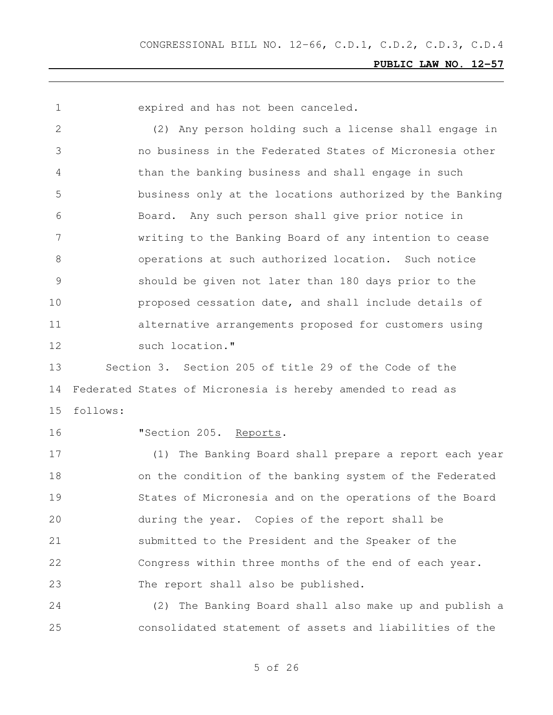expired and has not been canceled.

 (2) Any person holding such a license shall engage in no business in the Federated States of Micronesia other than the banking business and shall engage in such business only at the locations authorized by the Banking Board. Any such person shall give prior notice in writing to the Banking Board of any intention to cease operations at such authorized location. Such notice should be given not later than 180 days prior to the proposed cessation date, and shall include details of alternative arrangements proposed for customers using 12 such location."

 Section 3. Section 205 of title 29 of the Code of the Federated States of Micronesia is hereby amended to read as follows:

**"Section 205. Reports.** 

 (1) The Banking Board shall prepare a report each year on the condition of the banking system of the Federated States of Micronesia and on the operations of the Board during the year. Copies of the report shall be submitted to the President and the Speaker of the Congress within three months of the end of each year. The report shall also be published.

 (2) The Banking Board shall also make up and publish a consolidated statement of assets and liabilities of the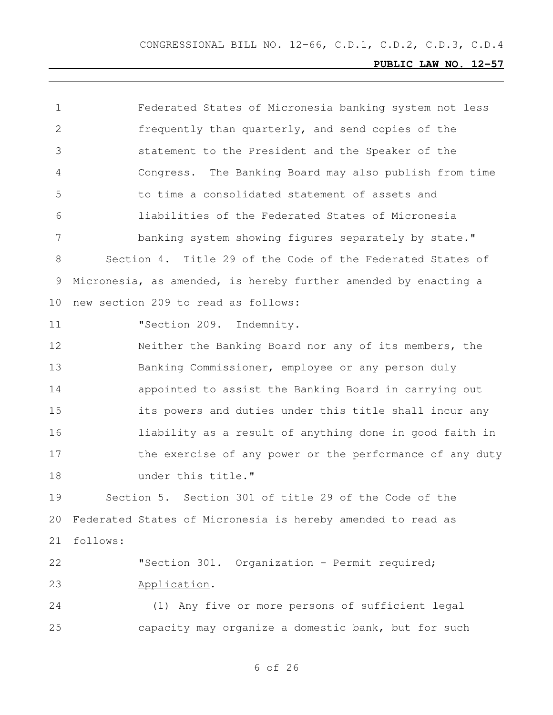| $\mathbf 1$     | Federated States of Micronesia banking system not less          |
|-----------------|-----------------------------------------------------------------|
| $\overline{2}$  | frequently than quarterly, and send copies of the               |
| 3               | statement to the President and the Speaker of the               |
| 4               | Congress. The Banking Board may also publish from time          |
| 5               | to time a consolidated statement of assets and                  |
| 6               | liabilities of the Federated States of Micronesia               |
| 7               | banking system showing figures separately by state."            |
| 8               | Section 4. Title 29 of the Code of the Federated States of      |
| 9               | Micronesia, as amended, is hereby further amended by enacting a |
| 10 <sub>o</sub> | new section 209 to read as follows:                             |
| 11              | "Section 209. Indemnity.                                        |
| 12              | Neither the Banking Board nor any of its members, the           |
| 13              | Banking Commissioner, employee or any person duly               |
| 14              | appointed to assist the Banking Board in carrying out           |
| 15              | its powers and duties under this title shall incur any          |
| 16              | liability as a result of anything done in good faith in         |
| 17              | the exercise of any power or the performance of any duty        |
| 18              | under this title."                                              |
| 19              | Section 5. Section 301 of title 29 of the Code of the           |
| 20              | Federated States of Micronesia is hereby amended to read as     |
| 21              | follows:                                                        |
| 22              | "Section 301. Organization - Permit required;                   |
| 23              | Application.                                                    |
| 24              | (1) Any five or more persons of sufficient legal                |
| 25              | capacity may organize a domestic bank, but for such             |
|                 |                                                                 |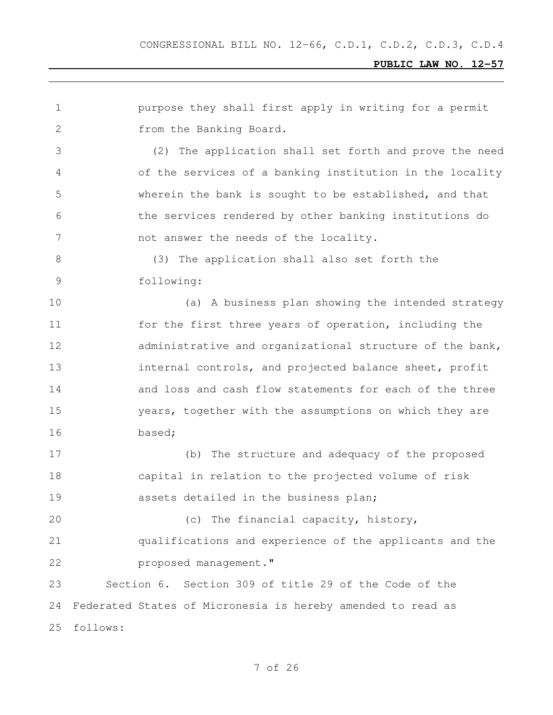purpose they shall first apply in writing for a permit from the Banking Board. (2) The application shall set forth and prove the need of the services of a banking institution in the locality wherein the bank is sought to be established, and that the services rendered by other banking institutions do 7 not answer the needs of the locality. (3) The application shall also set forth the following: 10 (a) A business plan showing the intended strategy for the first three years of operation, including the administrative and organizational structure of the bank, **internal controls, and projected balance sheet, profit**  and loss and cash flow statements for each of the three years, together with the assumptions on which they are based; (b) The structure and adequacy of the proposed capital in relation to the projected volume of risk assets detailed in the business plan; (c) The financial capacity, history, qualifications and experience of the applicants and the **proposed management."**  Section 6. Section 309 of title 29 of the Code of the Federated States of Micronesia is hereby amended to read as follows: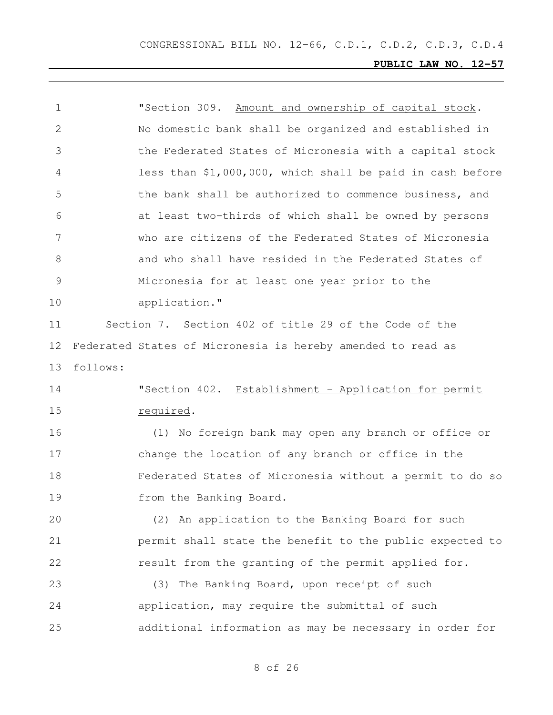| $\mathbf 1$    |          | "Section 309. Amount and ownership of capital stock.        |
|----------------|----------|-------------------------------------------------------------|
| 2              |          | No domestic bank shall be organized and established in      |
| 3              |          | the Federated States of Micronesia with a capital stock     |
| 4              |          | less than \$1,000,000, which shall be paid in cash before   |
| 5              |          | the bank shall be authorized to commence business, and      |
| 6              |          | at least two-thirds of which shall be owned by persons      |
| 7              |          | who are citizens of the Federated States of Micronesia      |
| 8              |          | and who shall have resided in the Federated States of       |
| $\overline{9}$ |          | Micronesia for at least one year prior to the               |
| 10             |          | application."                                               |
| 11             |          | Section 7. Section 402 of title 29 of the Code of the       |
| 12             |          | Federated States of Micronesia is hereby amended to read as |
| 13             | follows: |                                                             |
| 14             |          | "Section 402. Establishment - Application for permit        |
| 15             |          | required.                                                   |
| 16             |          | (1) No foreign bank may open any branch or office or        |
| 17             |          | change the location of any branch or office in the          |
| 18             |          | Federated States of Micronesia without a permit to do so    |
| 19             |          | from the Banking Board.                                     |
| 20             |          | (2) An application to the Banking Board for such            |
| 21             |          | permit shall state the benefit to the public expected to    |
| 22             |          | result from the granting of the permit applied for.         |
| 23             |          | The Banking Board, upon receipt of such<br>(3)              |
| 24             |          | application, may require the submittal of such              |
| 25             |          | additional information as may be necessary in order for     |
|                |          |                                                             |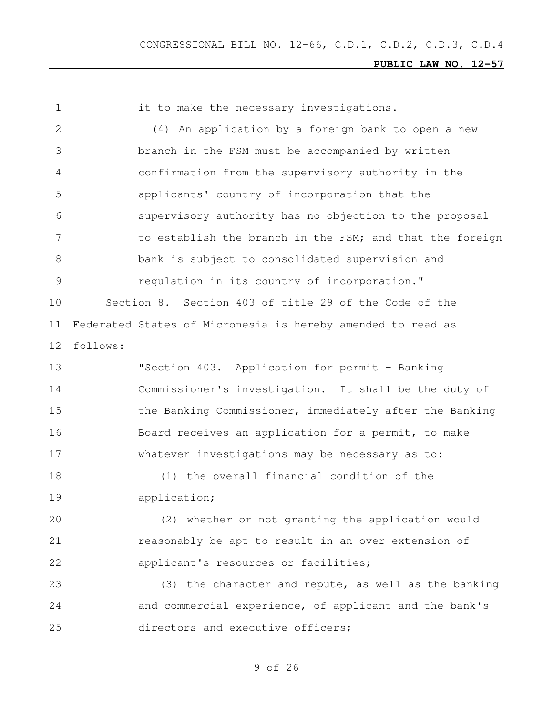it to make the necessary investigations. (4) An application by a foreign bank to open a new branch in the FSM must be accompanied by written confirmation from the supervisory authority in the applicants' country of incorporation that the supervisory authority has no objection to the proposal 7 to establish the branch in the FSM; and that the foreign bank is subject to consolidated supervision and regulation in its country of incorporation." Section 8. Section 403 of title 29 of the Code of the Federated States of Micronesia is hereby amended to read as follows: "Section 403. Application for permit – Banking Commissioner's investigation. It shall be the duty of 15 the Banking Commissioner, immediately after the Banking 16 Board receives an application for a permit, to make whatever investigations may be necessary as to: (1) the overall financial condition of the application; (2) whether or not granting the application would reasonably be apt to result in an over-extension of **applicant's resources or facilities;**  (3) the character and repute, as well as the banking and commercial experience, of applicant and the bank's directors and executive officers;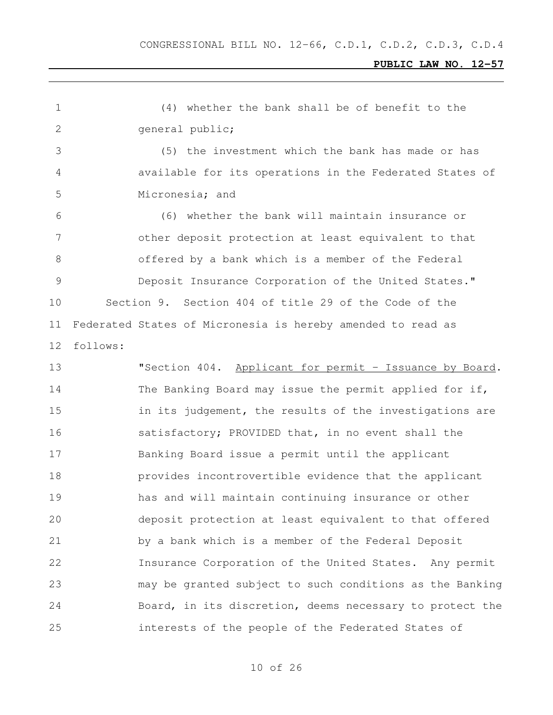(4) whether the bank shall be of benefit to the general public;

 (5) the investment which the bank has made or has available for its operations in the Federated States of Micronesia; and

 (6) whether the bank will maintain insurance or other deposit protection at least equivalent to that offered by a bank which is a member of the Federal Deposit Insurance Corporation of the United States." Section 9. Section 404 of title 29 of the Code of the Federated States of Micronesia is hereby amended to read as follows:

 "Section 404. Applicant for permit – Issuance by Board. 14 The Banking Board may issue the permit applied for if, **in its judgement, the results of the investigations are** 16 5. satisfactory; PROVIDED that, in no event shall the Banking Board issue a permit until the applicant provides incontrovertible evidence that the applicant has and will maintain continuing insurance or other deposit protection at least equivalent to that offered by a bank which is a member of the Federal Deposit Insurance Corporation of the United States. Any permit may be granted subject to such conditions as the Banking Board, in its discretion, deems necessary to protect the interests of the people of the Federated States of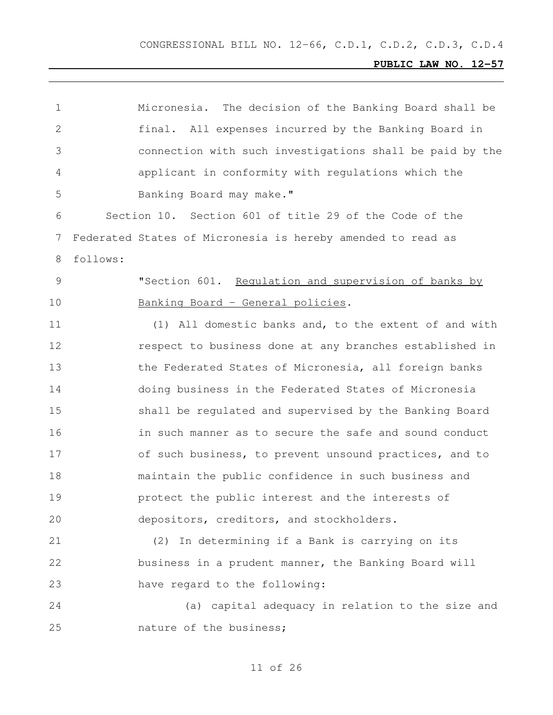|          | Micronesia. The decision of the Banking Board shall be      |
|----------|-------------------------------------------------------------|
|          | final. All expenses incurred by the Banking Board in        |
|          | connection with such investigations shall be paid by the    |
|          | applicant in conformity with regulations which the          |
|          | Banking Board may make."                                    |
|          | Section 10. Section 601 of title 29 of the Code of the      |
|          | Federated States of Micronesia is hereby amended to read as |
| follows: |                                                             |
|          | "Section 601. Requlation and supervision of banks by        |
|          | Banking Board - General policies.                           |
|          | (1) All domestic banks and, to the extent of and with       |
|          | respect to business done at any branches established in     |
|          | the Federated States of Micronesia, all foreign banks       |
|          | doing business in the Federated States of Micronesia        |
|          | shall be regulated and supervised by the Banking Board      |
|          | in such manner as to secure the safe and sound conduct      |
|          | of such business, to prevent unsound practices, and to      |
|          | maintain the public confidence in such business and         |
|          | protect the public interest and the interests of            |
|          | depositors, creditors, and stockholders.                    |
|          | (2) In determining if a Bank is carrying on its             |
|          | business in a prudent manner, the Banking Board will        |
|          | have regard to the following:                               |
|          | (a) capital adequacy in relation to the size and            |
|          | nature of the business;                                     |
|          |                                                             |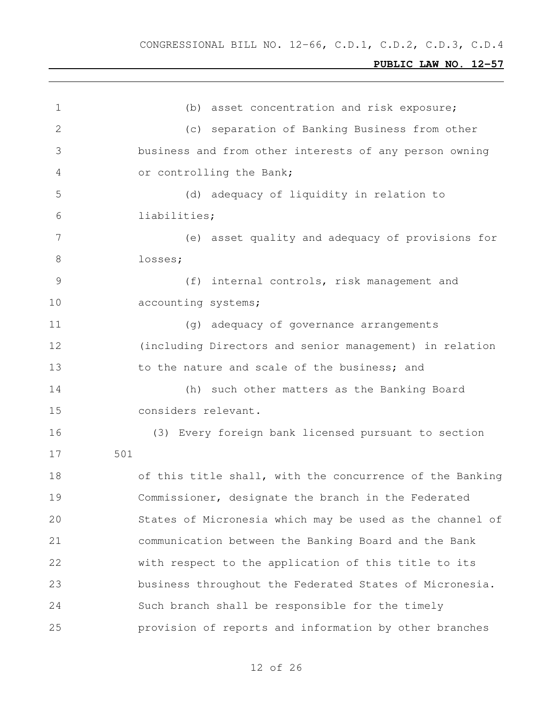| $\mathbf 1$    | (b) asset concentration and risk exposure;               |
|----------------|----------------------------------------------------------|
| $\overline{2}$ | (c) separation of Banking Business from other            |
| 3              | business and from other interests of any person owning   |
| 4              | or controlling the Bank;                                 |
| 5              | (d) adequacy of liquidity in relation to                 |
| 6              | liabilities;                                             |
| 7              | (e) asset quality and adequacy of provisions for         |
| 8              | losses;                                                  |
| 9              | (f) internal controls, risk management and               |
| 10             | accounting systems;                                      |
| 11             | (g) adequacy of governance arrangements                  |
| 12             | (including Directors and senior management) in relation  |
| 13             | to the nature and scale of the business; and             |
| 14             | (h) such other matters as the Banking Board              |
| 15             | considers relevant.                                      |
| 16             | (3) Every foreign bank licensed pursuant to section      |
| 17             | 501                                                      |
| 18             | of this title shall, with the concurrence of the Banking |
| 19             | Commissioner, designate the branch in the Federated      |
| 20             | States of Micronesia which may be used as the channel of |
| 21             | communication between the Banking Board and the Bank     |
| 22             | with respect to the application of this title to its     |
| 23             | business throughout the Federated States of Micronesia.  |
| 24             | Such branch shall be responsible for the timely          |
| 25             | provision of reports and information by other branches   |
|                |                                                          |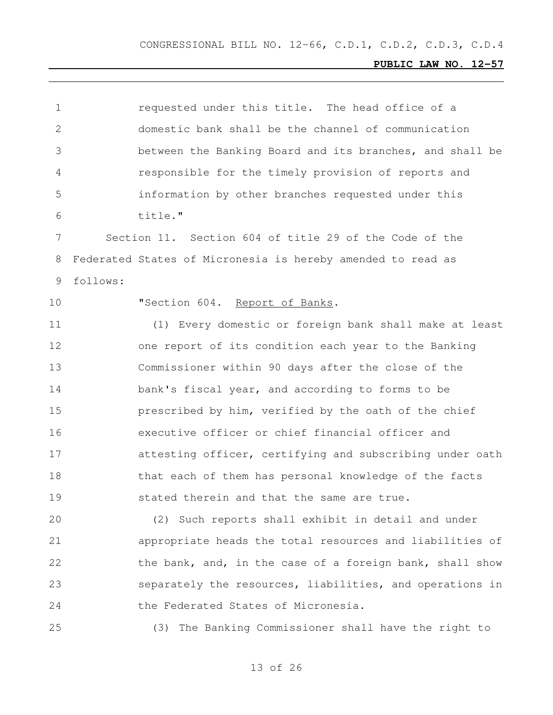| 1            |          | requested under this title. The head office of a            |
|--------------|----------|-------------------------------------------------------------|
| $\mathbf{2}$ |          | domestic bank shall be the channel of communication         |
| 3            |          | between the Banking Board and its branches, and shall be    |
| 4            |          | responsible for the timely provision of reports and         |
| 5            |          | information by other branches requested under this          |
| 6            |          | title."                                                     |
| 7            |          | Section 11. Section 604 of title 29 of the Code of the      |
| 8            |          | Federated States of Micronesia is hereby amended to read as |
| 9            | follows: |                                                             |
| 10           |          | "Section 604. Report of Banks.                              |
| 11           |          | (1) Every domestic or foreign bank shall make at least      |
| 12           |          | one report of its condition each year to the Banking        |
| 13           |          | Commissioner within 90 days after the close of the          |
| 14           |          | bank's fiscal year, and according to forms to be            |
| 15           |          | prescribed by him, verified by the oath of the chief        |
| 16           |          | executive officer or chief financial officer and            |
| 17           |          | attesting officer, certifying and subscribing under oath    |
| 18           |          | that each of them has personal knowledge of the facts       |
| 19           |          | stated therein and that the same are true.                  |
| 20           |          | (2) Such reports shall exhibit in detail and under          |
| 21           |          | appropriate heads the total resources and liabilities of    |
| 22           |          | the bank, and, in the case of a foreign bank, shall show    |
| 23           |          | separately the resources, liabilities, and operations in    |
| 24           |          | the Federated States of Micronesia.                         |
| 25           |          | (3) The Banking Commissioner shall have the right to        |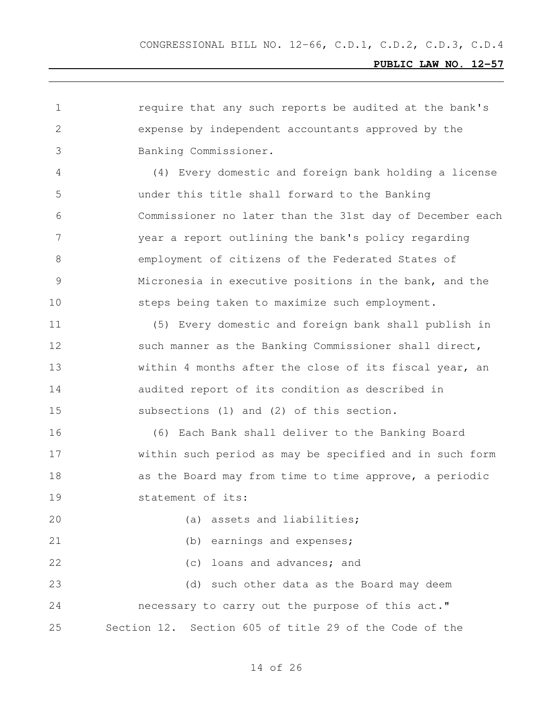require that any such reports be audited at the bank's expense by independent accountants approved by the Banking Commissioner. (4) Every domestic and foreign bank holding a license under this title shall forward to the Banking Commissioner no later than the 31st day of December each year a report outlining the bank's policy regarding employment of citizens of the Federated States of Micronesia in executive positions in the bank, and the steps being taken to maximize such employment. (5) Every domestic and foreign bank shall publish in 12 such manner as the Banking Commissioner shall direct, 13 Within 4 months after the close of its fiscal year, an audited report of its condition as described in subsections (1) and (2) of this section. (6) Each Bank shall deliver to the Banking Board within such period as may be specified and in such form 18 as the Board may from time to time approve, a periodic statement of its: 20 (a) assets and liabilities; (b) earnings and expenses; (c) loans and advances; and (d) such other data as the Board may deem necessary to carry out the purpose of this act." Section 12. Section 605 of title 29 of the Code of the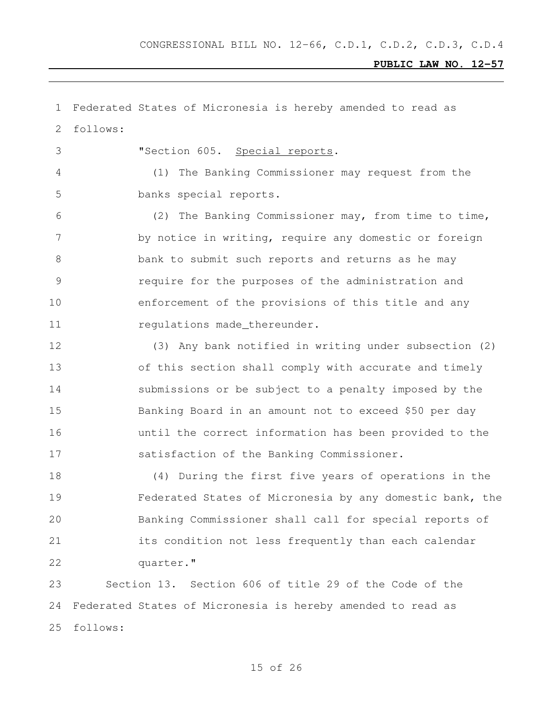Federated States of Micronesia is hereby amended to read as follows: "Section 605. Special reports. (1) The Banking Commissioner may request from the banks special reports. (2) The Banking Commissioner may, from time to time, 7 by notice in writing, require any domestic or foreign bank to submit such reports and returns as he may require for the purposes of the administration and enforcement of the provisions of this title and any 11 requlations made thereunder. (3) Any bank notified in writing under subsection (2) of this section shall comply with accurate and timely submissions or be subject to a penalty imposed by the Banking Board in an amount not to exceed \$50 per day until the correct information has been provided to the satisfaction of the Banking Commissioner. (4) During the first five years of operations in the Federated States of Micronesia by any domestic bank, the Banking Commissioner shall call for special reports of its condition not less frequently than each calendar 22 quarter." Section 13. Section 606 of title 29 of the Code of the Federated States of Micronesia is hereby amended to read as follows: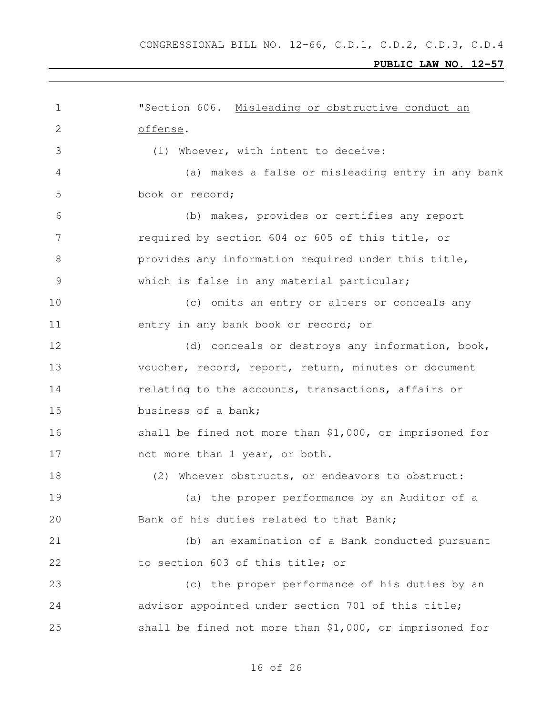| 1            | "Section 606. Misleading or obstructive conduct an        |
|--------------|-----------------------------------------------------------|
| $\mathbf{2}$ | offense.                                                  |
| 3            | (1) Whoever, with intent to deceive:                      |
| 4            | (a) makes a false or misleading entry in any bank         |
| 5            | book or record;                                           |
| 6            | (b) makes, provides or certifies any report               |
| 7            | required by section 604 or 605 of this title, or          |
| 8            | provides any information required under this title,       |
| 9            | which is false in any material particular;                |
| 10           | (c) omits an entry or alters or conceals any              |
| 11           | entry in any bank book or record; or                      |
| 12           | (d) conceals or destroys any information, book,           |
| 13           | voucher, record, report, return, minutes or document      |
| 14           | relating to the accounts, transactions, affairs or        |
| 15           | business of a bank;                                       |
| 16           | shall be fined not more than $$1,000$ , or imprisoned for |
| 17           | not more than 1 year, or both.                            |
| 18           | (2) Whoever obstructs, or endeavors to obstruct:          |
| 19           | (a) the proper performance by an Auditor of a             |
| 20           | Bank of his duties related to that Bank;                  |
| 21           | (b) an examination of a Bank conducted pursuant           |
| 22           | to section 603 of this title; or                          |
| 23           | (c) the proper performance of his duties by an            |
| 24           | advisor appointed under section 701 of this title;        |
| 25           | shall be fined not more than \$1,000, or imprisoned for   |
|              |                                                           |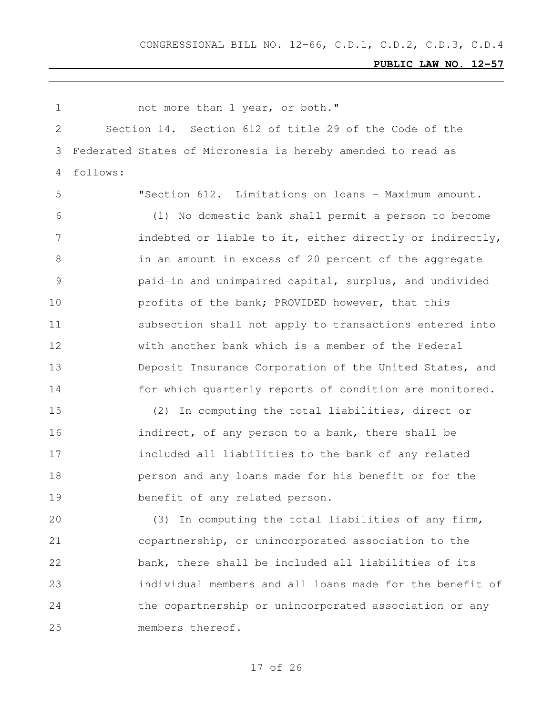| 1             |          | not more than 1 year, or both."                             |
|---------------|----------|-------------------------------------------------------------|
| 2             |          | Section 14. Section 612 of title 29 of the Code of the      |
| 3             |          | Federated States of Micronesia is hereby amended to read as |
| 4             | follows: |                                                             |
| 5             |          | "Section 612. Limitations on loans - Maximum amount.        |
| 6             |          | (1) No domestic bank shall permit a person to become        |
| 7             |          | indebted or liable to it, either directly or indirectly,    |
| 8             |          | in an amount in excess of 20 percent of the aggregate       |
| $\mathcal{G}$ |          | paid-in and unimpaired capital, surplus, and undivided      |
| 10            |          | profits of the bank; PROVIDED however, that this            |
| 11            |          | subsection shall not apply to transactions entered into     |
| 12            |          | with another bank which is a member of the Federal          |
| 13            |          | Deposit Insurance Corporation of the United States, and     |
| 14            |          | for which quarterly reports of condition are monitored.     |
| 15            |          | (2)<br>In computing the total liabilities, direct or        |
| 16            |          | indirect, of any person to a bank, there shall be           |
| 17            |          | included all liabilities to the bank of any related         |
| 18            |          | person and any loans made for his benefit or for the        |
| 19            |          | benefit of any related person.                              |
| 20            |          | (3) In computing the total liabilities of any firm,         |
| 21            |          | copartnership, or unincorporated association to the         |
| 22            |          | bank, there shall be included all liabilities of its        |
| 23            |          | individual members and all loans made for the benefit of    |
| 24            |          | the copartnership or unincorporated association or any      |
| 25            |          | members thereof.                                            |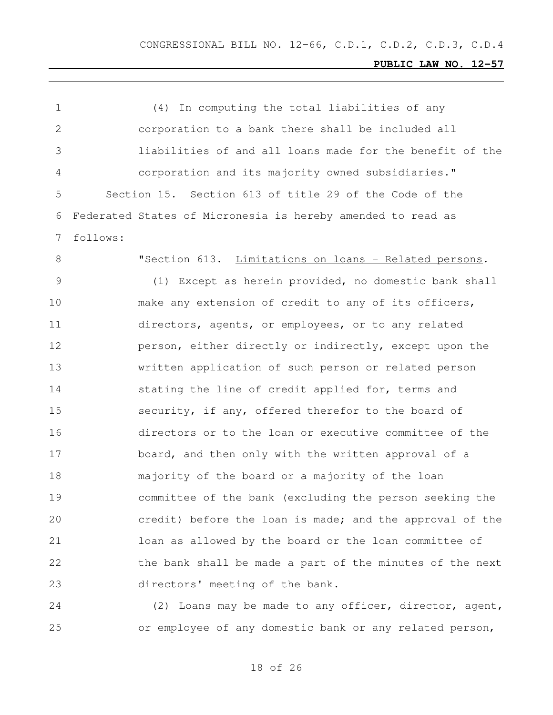| $\mathbf 1$ | In computing the total liabilities of any<br>(4)            |
|-------------|-------------------------------------------------------------|
| 2           | corporation to a bank there shall be included all           |
| 3           | liabilities of and all loans made for the benefit of the    |
| 4           | corporation and its majority owned subsidiaries."           |
| 5           | Section 15. Section 613 of title 29 of the Code of the      |
| 6           | Federated States of Micronesia is hereby amended to read as |
| 7           | follows:                                                    |
| 8           | "Section 613. Limitations on loans - Related persons.       |
| 9           | (1) Except as herein provided, no domestic bank shall       |
| 10          | make any extension of credit to any of its officers,        |
| 11          | directors, agents, or employees, or to any related          |
| 12          | person, either directly or indirectly, except upon the      |
| 13          | written application of such person or related person        |
| 14          | stating the line of credit applied for, terms and           |
| 15          | security, if any, offered therefor to the board of          |
| 16          | directors or to the loan or executive committee of the      |
| 17          | board, and then only with the written approval of a         |
| 18          | majority of the board or a majority of the loan             |
| 19          | committee of the bank (excluding the person seeking the     |
| 20          | credit) before the loan is made; and the approval of the    |
| 21          | loan as allowed by the board or the loan committee of       |
| 22          | the bank shall be made a part of the minutes of the next    |
| 23          | directors' meeting of the bank.                             |
|             |                                                             |

 (2) Loans may be made to any officer, director, agent, or employee of any domestic bank or any related person,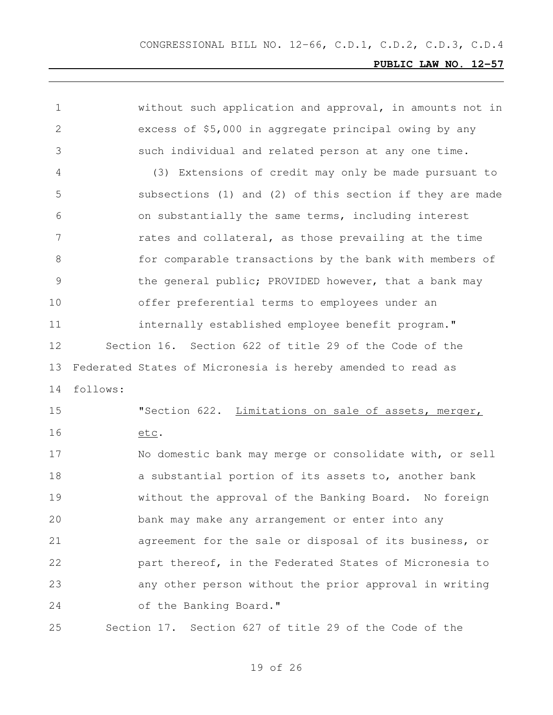| 1             |          | without such application and approval, in amounts not in    |
|---------------|----------|-------------------------------------------------------------|
| 2             |          | excess of \$5,000 in aggregate principal owing by any       |
| 3             |          | such individual and related person at any one time.         |
| 4             |          | (3) Extensions of credit may only be made pursuant to       |
| 5             |          | subsections (1) and (2) of this section if they are made    |
| 6             |          | on substantially the same terms, including interest         |
| 7             |          | rates and collateral, as those prevailing at the time       |
| 8             |          | for comparable transactions by the bank with members of     |
| $\mathcal{G}$ |          | the general public; PROVIDED however, that a bank may       |
| 10            |          | offer preferential terms to employees under an              |
| 11            |          | internally established employee benefit program."           |
| 12            |          | Section 16. Section 622 of title 29 of the Code of the      |
| 13            |          | Federated States of Micronesia is hereby amended to read as |
| 14            | follows: |                                                             |
| 15            |          | "Section 622. Limitations on sale of assets, merger,        |
| 16            |          | etc.                                                        |
| 17            |          | No domestic bank may merge or consolidate with, or sell     |
| 18            |          | a substantial portion of its assets to, another bank        |
| 19            |          | without the approval of the Banking Board. No foreign       |
| 20            |          | bank may make any arrangement or enter into any             |
| 21            |          | agreement for the sale or disposal of its business, or      |
| 22            |          | part thereof, in the Federated States of Micronesia to      |
| 23            |          | any other person without the prior approval in writing      |
| 24            |          | of the Banking Board."                                      |
| 25            |          | Section 17. Section 627 of title 29 of the Code of the      |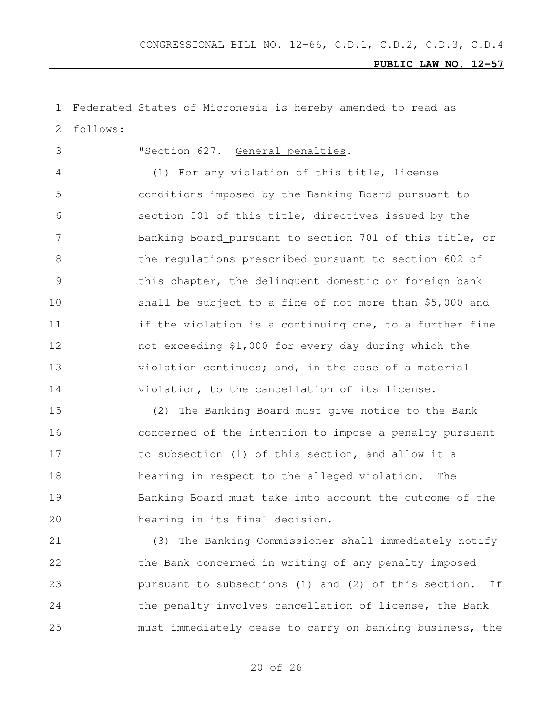Federated States of Micronesia is hereby amended to read as follows:

"Section 627. General penalties.

 (1) For any violation of this title, license conditions imposed by the Banking Board pursuant to section 501 of this title, directives issued by the Banking Board pursuant to section 701 of this title, or the regulations prescribed pursuant to section 602 of this chapter, the delinquent domestic or foreign bank shall be subject to a fine of not more than \$5,000 and 11 if the violation is a continuing one, to a further fine not exceeding \$1,000 for every day during which the violation continues; and, in the case of a material violation, to the cancellation of its license.

 (2) The Banking Board must give notice to the Bank concerned of the intention to impose a penalty pursuant to subsection (1) of this section, and allow it a hearing in respect to the alleged violation. The Banking Board must take into account the outcome of the hearing in its final decision.

 (3) The Banking Commissioner shall immediately notify the Bank concerned in writing of any penalty imposed pursuant to subsections (1) and (2) of this section. If 24 the penalty involves cancellation of license, the Bank must immediately cease to carry on banking business, the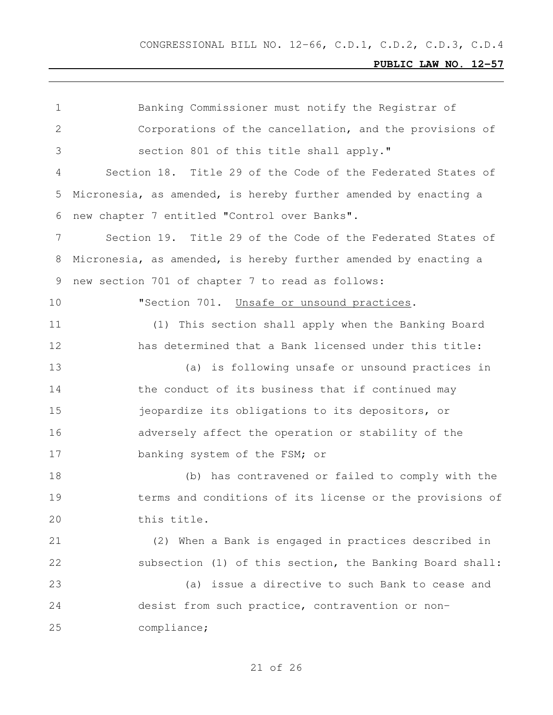| $\mathbf 1$ | Banking Commissioner must notify the Registrar of               |
|-------------|-----------------------------------------------------------------|
| 2           | Corporations of the cancellation, and the provisions of         |
| 3           | section 801 of this title shall apply."                         |
| 4           | Section 18. Title 29 of the Code of the Federated States of     |
| 5           | Micronesia, as amended, is hereby further amended by enacting a |
| 6           | new chapter 7 entitled "Control over Banks".                    |
| 7           | Section 19. Title 29 of the Code of the Federated States of     |
| 8           | Micronesia, as amended, is hereby further amended by enacting a |
| 9           | new section 701 of chapter 7 to read as follows:                |
| 10          | "Section 701. Unsafe or unsound practices.                      |
| 11          | (1)<br>This section shall apply when the Banking Board          |
| 12          | has determined that a Bank licensed under this title:           |
| 13          | (a) is following unsafe or unsound practices in                 |
| 14          | the conduct of its business that if continued may               |
| 15          | jeopardize its obligations to its depositors, or                |
| 16          | adversely affect the operation or stability of the              |
| 17          | banking system of the FSM; or                                   |
| 18          | (b) has contravened or failed to comply with the                |
| 19          | terms and conditions of its license or the provisions of        |
| 20          | this title.                                                     |
| 21          | (2) When a Bank is engaged in practices described in            |
| 22          | subsection (1) of this section, the Banking Board shall:        |
| 23          | (a) issue a directive to such Bank to cease and                 |
| 24          | desist from such practice, contravention or non-                |
| 25          | compliance;                                                     |
|             |                                                                 |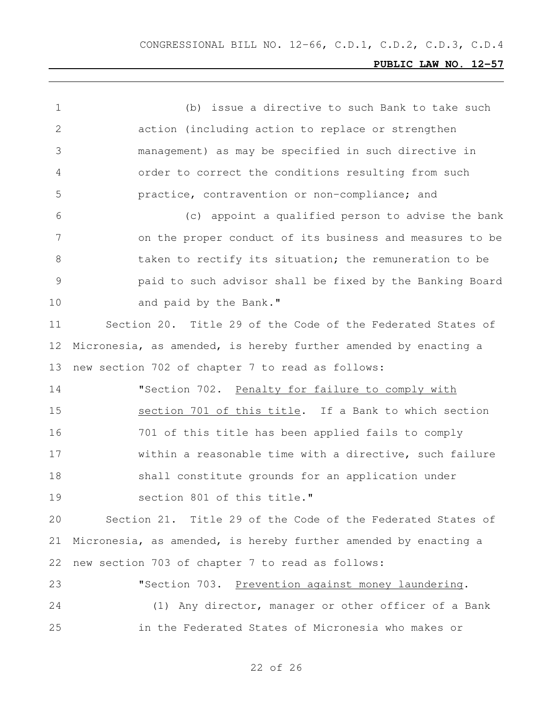(b) issue a directive to such Bank to take such action (including action to replace or strengthen management) as may be specified in such directive in order to correct the conditions resulting from such practice, contravention or non-compliance; and (c) appoint a qualified person to advise the bank on the proper conduct of its business and measures to be 8 taken to rectify its situation; the remuneration to be paid to such advisor shall be fixed by the Banking Board 10 and paid by the Bank." Section 20. Title 29 of the Code of the Federated States of Micronesia, as amended, is hereby further amended by enacting a new section 702 of chapter 7 to read as follows: "Section 702. Penalty for failure to comply with section 701 of this title. If a Bank to which section 701 of this title has been applied fails to comply within a reasonable time with a directive, such failure shall constitute grounds for an application under section 801 of this title." Section 21. Title 29 of the Code of the Federated States of Micronesia, as amended, is hereby further amended by enacting a new section 703 of chapter 7 to read as follows: "Section 703. Prevention against money laundering. (1) Any director, manager or other officer of a Bank in the Federated States of Micronesia who makes or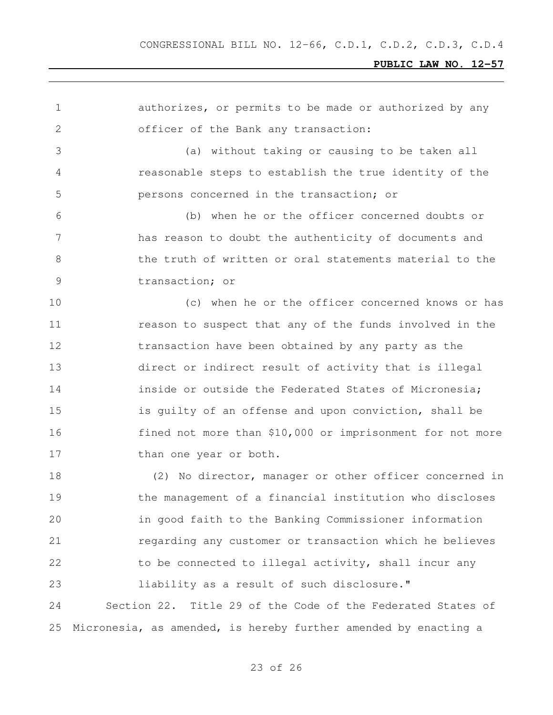| 1             | authorizes, or permits to be made or authorized by any          |
|---------------|-----------------------------------------------------------------|
| $\mathbf{2}$  | officer of the Bank any transaction:                            |
| 3             | (a) without taking or causing to be taken all                   |
| 4             | reasonable steps to establish the true identity of the          |
| 5             | persons concerned in the transaction; or                        |
| 6             | (b) when he or the officer concerned doubts or                  |
| 7             | has reason to doubt the authenticity of documents and           |
| 8             | the truth of written or oral statements material to the         |
| $\mathcal{G}$ | transaction; or                                                 |
| 10            | (c) when he or the officer concerned knows or has               |
| 11            | reason to suspect that any of the funds involved in the         |
| 12            | transaction have been obtained by any party as the              |
| 13            | direct or indirect result of activity that is illegal           |
| 14            | inside or outside the Federated States of Micronesia;           |
| 15            | is quilty of an offense and upon conviction, shall be           |
| 16            | fined not more than \$10,000 or imprisonment for not more       |
| 17            | than one year or both.                                          |
| 18            | (2) No director, manager or other officer concerned in          |
| 19            | the management of a financial institution who discloses         |
| 20            | in good faith to the Banking Commissioner information           |
| 21            | regarding any customer or transaction which he believes         |
| 22            | to be connected to illegal activity, shall incur any            |
| 23            | liability as a result of such disclosure."                      |
| 24            | Section 22. Title 29 of the Code of the Federated States of     |
| 25            | Micronesia, as amended, is hereby further amended by enacting a |
|               |                                                                 |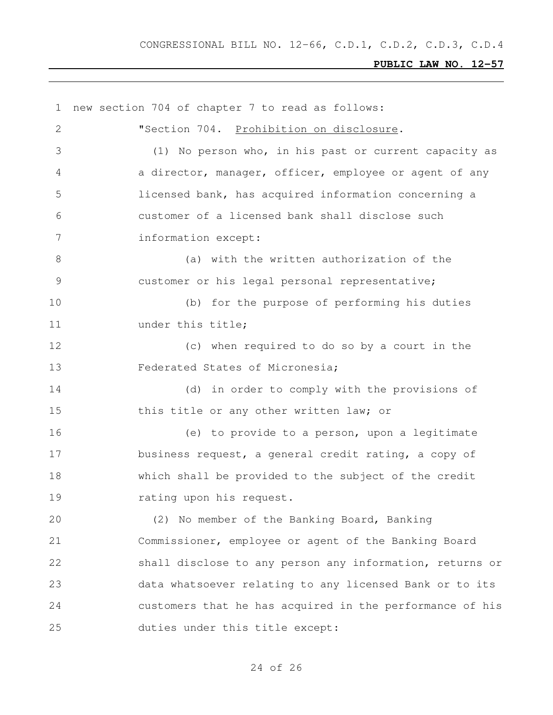new section 704 of chapter 7 to read as follows: "Section 704. Prohibition on disclosure. (1) No person who, in his past or current capacity as a director, manager, officer, employee or agent of any licensed bank, has acquired information concerning a customer of a licensed bank shall disclose such information except: 8 (a) with the written authorization of the customer or his legal personal representative; (b) for the purpose of performing his duties 11 under this title; (c) when required to do so by a court in the Federated States of Micronesia; (d) in order to comply with the provisions of 15 this title or any other written law; or (e) to provide to a person, upon a legitimate business request, a general credit rating, a copy of which shall be provided to the subject of the credit 19 rating upon his request. (2) No member of the Banking Board, Banking Commissioner, employee or agent of the Banking Board shall disclose to any person any information, returns or data whatsoever relating to any licensed Bank or to its customers that he has acquired in the performance of his duties under this title except: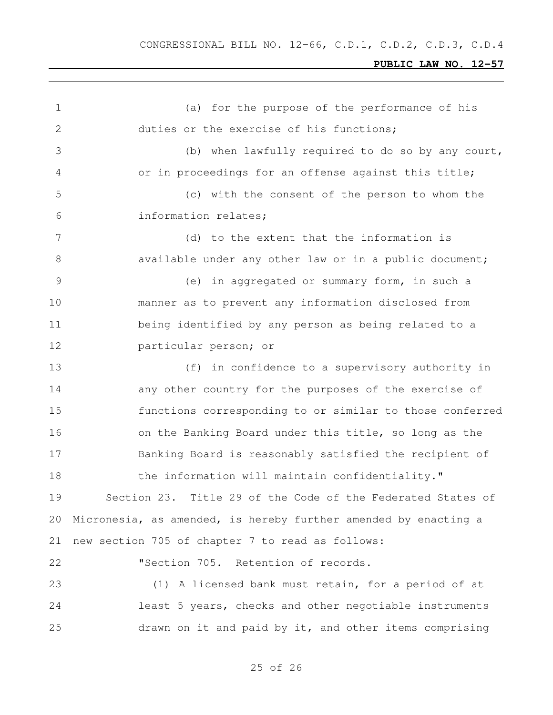| 1             | for the purpose of the performance of his<br>(a)                |
|---------------|-----------------------------------------------------------------|
| $\mathbf{2}$  | duties or the exercise of his functions;                        |
| 3             | (b) when lawfully required to do so by any court,               |
| 4             | or in proceedings for an offense against this title;            |
| 5             | (c) with the consent of the person to whom the                  |
| 6             | information relates;                                            |
| 7             | (d) to the extent that the information is                       |
| 8             | available under any other law or in a public document;          |
| $\mathcal{G}$ | (e) in aggregated or summary form, in such a                    |
| 10            | manner as to prevent any information disclosed from             |
| 11            | being identified by any person as being related to a            |
| 12            | particular person; or                                           |
| 13            | (f) in confidence to a supervisory authority in                 |
| 14            | any other country for the purposes of the exercise of           |
| 15            | functions corresponding to or similar to those conferred        |
| 16            | on the Banking Board under this title, so long as the           |
| 17            | Banking Board is reasonably satisfied the recipient of          |
| 18            | the information will maintain confidentiality."                 |
| 19            | Section 23. Title 29 of the Code of the Federated States of     |
| 20            | Micronesia, as amended, is hereby further amended by enacting a |
| 21            | new section 705 of chapter 7 to read as follows:                |
| 22            | "Section 705. Retention of records.                             |
| 23            | (1) A licensed bank must retain, for a period of at             |
| 24            | least 5 years, checks and other negotiable instruments          |
| 25            | drawn on it and paid by it, and other items comprising          |
|               |                                                                 |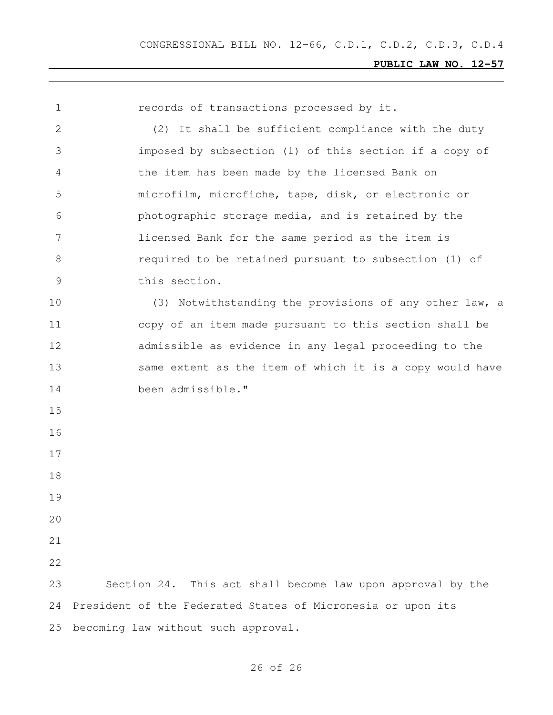| $\mathbf 1$  | records of transactions processed by it.                    |
|--------------|-------------------------------------------------------------|
| $\mathbf{2}$ | (2) It shall be sufficient compliance with the duty         |
| 3            | imposed by subsection (1) of this section if a copy of      |
| 4            | the item has been made by the licensed Bank on              |
| 5            | microfilm, microfiche, tape, disk, or electronic or         |
| 6            | photographic storage media, and is retained by the          |
| 7            | licensed Bank for the same period as the item is            |
| 8            | required to be retained pursuant to subsection (1) of       |
| $\mathsf 9$  | this section.                                               |
| 10           | (3) Notwithstanding the provisions of any other law, a      |
| 11           | copy of an item made pursuant to this section shall be      |
| 12           | admissible as evidence in any legal proceeding to the       |
| 13           | same extent as the item of which it is a copy would have    |
| 14           | been admissible."                                           |
| 15           |                                                             |
| 16           |                                                             |
| 17           |                                                             |
| 18           |                                                             |
| 19           |                                                             |
| 20           |                                                             |
| 21           |                                                             |
| 22           |                                                             |
| 23           | Section 24. This act shall become law upon approval by the  |
| 24           | President of the Federated States of Micronesia or upon its |
| 25           | becoming law without such approval.                         |